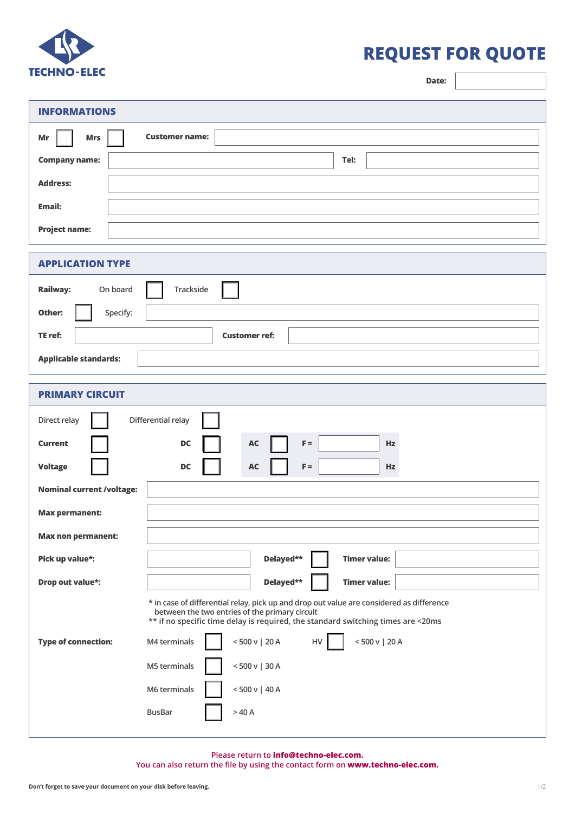

## **REQUEST FOR QUOTE**

**Date:**

| <b>INFORMATIONS</b>              |                                                                                                                                                                                                                                |
|----------------------------------|--------------------------------------------------------------------------------------------------------------------------------------------------------------------------------------------------------------------------------|
| Mr<br><b>Mrs</b>                 | <b>Customer name:</b>                                                                                                                                                                                                          |
| <b>Company name:</b>             | Tel:                                                                                                                                                                                                                           |
| <b>Address:</b>                  |                                                                                                                                                                                                                                |
| Email:                           |                                                                                                                                                                                                                                |
| <b>Project name:</b>             |                                                                                                                                                                                                                                |
| <b>APPLICATION TYPE</b>          |                                                                                                                                                                                                                                |
| Railway:<br>On board             | Trackside                                                                                                                                                                                                                      |
| Specify:<br>Other:               |                                                                                                                                                                                                                                |
| TE ref:                          | <b>Customer ref:</b>                                                                                                                                                                                                           |
| <b>Applicable standards:</b>     |                                                                                                                                                                                                                                |
| <b>PRIMARY CIRCUIT</b>           |                                                                                                                                                                                                                                |
| Direct relay                     | Differential relay                                                                                                                                                                                                             |
| <b>Current</b>                   | DC<br>AC<br>$F =$<br>Hz                                                                                                                                                                                                        |
| <b>Voltage</b>                   | $\mathbb{F} =$<br><b>DC</b><br><b>AC</b><br>Hz                                                                                                                                                                                 |
| <b>Nominal current /voltage:</b> |                                                                                                                                                                                                                                |
| <b>Max permanent:</b>            |                                                                                                                                                                                                                                |
| <b>Max non permanent:</b>        |                                                                                                                                                                                                                                |
| Pick up value*:                  | <b>Timer value:</b><br>Delayed**                                                                                                                                                                                               |
| Drop out value*:                 | <b>Timer value:</b><br>Delayed**                                                                                                                                                                                               |
|                                  | * in case of differential relay, pick up and drop out value are considered as difference<br>between the two entries of the primary circuit<br>** if no specific time delay is required, the standard switching times are <20ms |
| <b>Type of connection:</b>       | < 500 v   20 A<br>< 500 v   20 A<br>${\sf HV}$<br>M4 terminals                                                                                                                                                                 |
|                                  | M5 terminals<br>< 500 v   30 A                                                                                                                                                                                                 |
|                                  | M6 terminals<br>< 500 v   40 A                                                                                                                                                                                                 |
|                                  | <b>BusBar</b><br>>40A                                                                                                                                                                                                          |

**Please return to info@techno-elec.com.** 

**You can also return the file by using the contact form on www.techno-elec.com.**